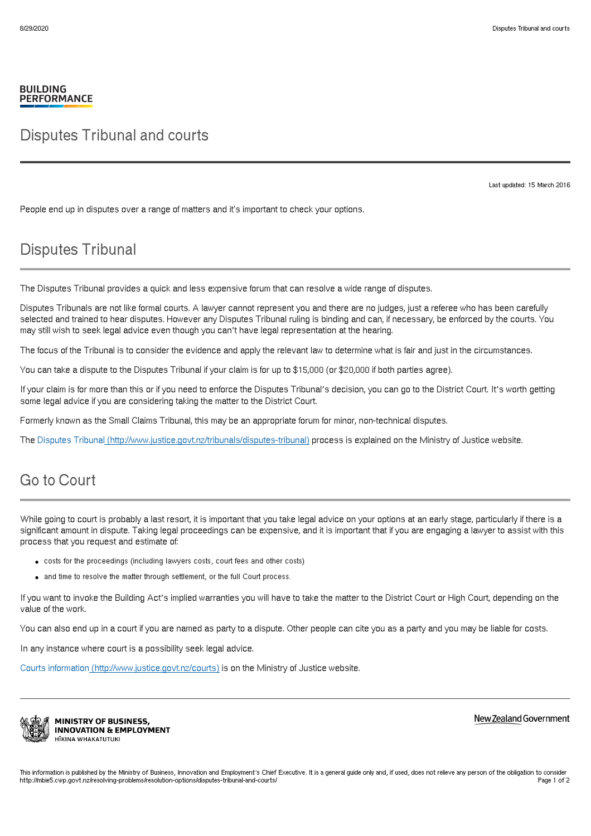## **BUILDING PERFORMANCE**

## Disputes Tribunal and courts

Last updated: 15 March 2016

People end up in disputes over a range of matters and it's important to check your options.

## Disputes Tribunal

The Disputes Tribunal provides a quick and less expensive forum that can resolve a wide range of disputes.

Disputes Tribunals are not like formal courts. A lawyer cannot represent you and there are no judges, just a referee who has been carefully selected and trained to hear disputes. However any Disputes Tribunal ruling is binding and can, if necessary, be enforced by the courts. You may still wish to seek legal advice even though you can't have legal representation at the hearing.

The focus of the Tribunal is to consider the evidence and apply the relevant law to determine what is fair and just in the circumstances.

You can take a dispute to the Disputes Tribunal if your claim is for up to \$15,000 (or \$20,000 if both parties agree).

If your claim is for more than this or if you need to enforce the Disputes Tribunal's decision, you can go to the District Court. It's worth getting some legal advice if you are considering taking the matter to the District Court.

Formerly known as the Small Claims Tribunal, this may be an appropriate forum for minor, non-technical disputes.

The Disputes Tribunal [\(http://www.justice.govt.nz/tribunals/disputes-tribunal\)](http://www.justice.govt.nz/tribunals/disputes-tribunal) process is explained on the Ministry of Justice website.

## Go to Court

While going to court is probably a last resort, it is important that you take legal advice on your options at an early stage, particularly if there is a significant amount in dispute. Taking legal proceedings can be expensive, and it is important that if you are engaging a lawyer to assist with this process that you request and estimate of:

- costs for the proceedings (including lawyers costs, court fees and other costs)
- and time to resolve the matter through settlement, or the full Court process.

If you want to invoke the Building Act's implied warranties you will have to take the matter to the District Court or High Court, depending on the value of the work.

You can also end up in a court if you are named as party to a dispute. Other people can cite you as a party and you may be liable for costs.

In any instance where court is a possibility seek legal advice.

Courts information [\(http://www.justice.govt.nz/courts\)](http://www.justice.govt.nz/courts) is on the Ministry of Justice website.



**MINISTRY OF BUSINESS, INNOVATION & EMPLOYMENT** HĪKINA WHAKATUTUKI

New Zealand Government

This information is published by the Ministry of Business, Innovation and Employment's Chief Executive. It is a general guide only and, if used, does not relieve any person of the obligation to consider<br>http://mbie5.cwp.go http://mbie5.cwp.govt.nz/resolving-problems/resolution-options/disputes-tribunal-and-courts.